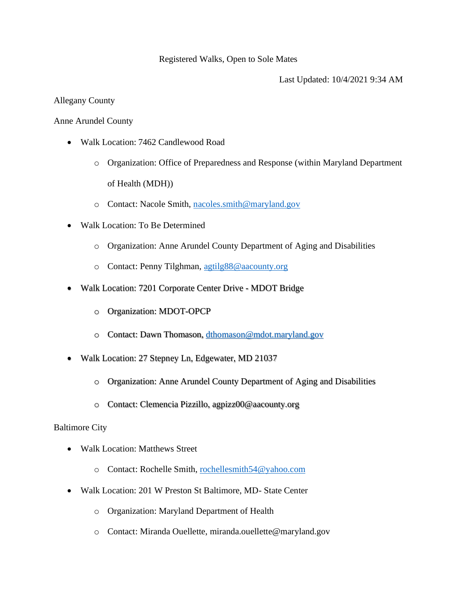### Registered Walks, Open to Sole Mates

Last Updated: 10/4/2021 9:34 AM

## Allegany County

### Anne Arundel County

- Walk Location: 7462 Candlewood Road
	- o Organization: Office of Preparedness and Response (within Maryland Department of Health (MDH))
	- o Contact: Nacole Smith, [nacoles.smith@maryland.gov](mailto:nacoles.smith@maryland.gov)
- Walk Location: To Be Determined
	- o Organization: Anne Arundel County Department of Aging and Disabilities
	- o Contact: Penny Tilghman, [agtilg88@aacounty.org](mailto:agtilg88@aacounty.org)
- Walk Location: 7201 Corporate Center Drive MDOT Bridge
	- o Organization: MDOT-OPCP
	- o Contact: Dawn Thomason, [dthomason@mdot.maryland.gov](mailto:dthomason@mdot.maryland.gov)
- Walk Location: 27 Stepney Ln, Edgewater, MD 21037
	- o Organization: Anne Arundel County Department of Aging and Disabilities
	- o Contact: Clemencia Pizzillo, agpizz00@aacounty.org

### Baltimore City

- Walk Location: Matthews Street
	- o Contact: Rochelle Smith, [rochellesmith54@yahoo.com](mailto:rochellesmith54@yahoo.com)
- Walk Location: 201 W Preston St Baltimore, MD- State Center
	- o Organization: Maryland Department of Health
	- o Contact: Miranda Ouellette, miranda.ouellette@maryland.gov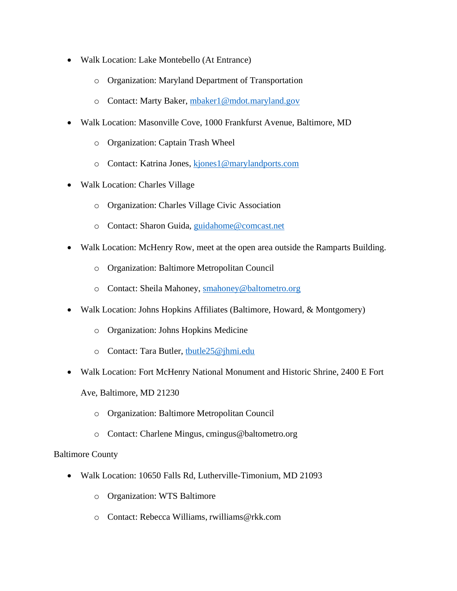- Walk Location: Lake Montebello (At Entrance)
	- o Organization: Maryland Department of Transportation
	- o Contact: Marty Baker, [mbaker1@mdot.maryland.gov](mailto:mbaker1@mdot.maryland.gov)
- Walk Location: Masonville Cove, 1000 Frankfurst Avenue, Baltimore, MD
	- o Organization: Captain Trash Wheel
	- o Contact: Katrina Jones, [kjones1@marylandports.com](mailto:kjones1@marylandports.com)
- Walk Location: Charles Village
	- o Organization: Charles Village Civic Association
	- o Contact: Sharon Guida, [guidahome@comcast.net](mailto:guidahome@comcast.net)
- Walk Location: McHenry Row, meet at the open area outside the Ramparts Building.
	- o Organization: Baltimore Metropolitan Council
	- o Contact: Sheila Mahoney, [smahoney@baltometro.org](mailto:smahoney@baltometro.org)
- Walk Location: Johns Hopkins Affiliates (Baltimore, Howard, & Montgomery)
	- o Organization: Johns Hopkins Medicine
	- o Contact: Tara Butler, [tbutle25@jhmi.edu](mailto:tbutle25@jhmi.edu)
- Walk Location: Fort McHenry National Monument and Historic Shrine, 2400 E Fort
	- Ave, Baltimore, MD 21230
		- o Organization: Baltimore Metropolitan Council
		- o Contact: Charlene Mingus, cmingus@baltometro.org

## Baltimore County

- Walk Location: 10650 Falls Rd, Lutherville-Timonium, MD 21093
	- o Organization: WTS Baltimore
	- o Contact: Rebecca Williams, rwilliams@rkk.com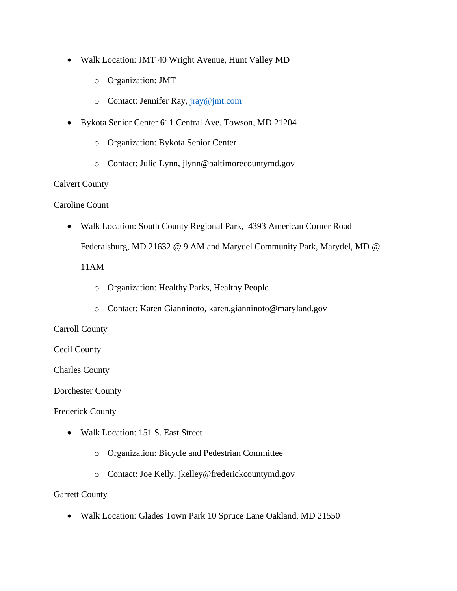- Walk Location: JMT 40 Wright Avenue, Hunt Valley MD
	- o Organization: JMT
	- o Contact: Jennifer Ray, [jray@jmt.com](mailto:jray@jmt.com)
- Bykota Senior Center 611 Central Ave. Towson, MD 21204
	- o Organization: Bykota Senior Center
	- o Contact: Julie Lynn, jlynn@baltimorecountymd.gov

#### Calvert County

Caroline Count

• Walk Location: South County Regional Park, 4393 American Corner Road

Federalsburg, MD 21632 @ 9 AM and Marydel Community Park, Marydel, MD @

11AM

- o Organization: Healthy Parks, Healthy People
- o Contact: Karen Gianninoto, karen.gianninoto@maryland.gov

### Carroll County

### Cecil County

Charles County

Dorchester County

Frederick County

- Walk Location: 151 S. East Street
	- o Organization: Bicycle and Pedestrian Committee
	- o Contact: Joe Kelly, jkelley@frederickcountymd.gov

### Garrett County

• Walk Location: Glades Town Park 10 Spruce Lane Oakland, MD 21550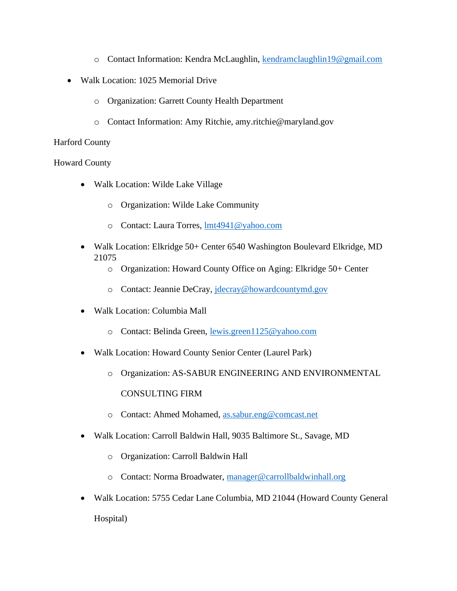- o Contact Information: Kendra McLaughlin, [kendramclaughlin19@gmail.com](mailto:kendramclaughlin19@gmail.com)
- Walk Location: 1025 Memorial Drive
	- o Organization: Garrett County Health Department
	- o Contact Information: Amy Ritchie, amy.ritchie@maryland.gov

## Harford County

## Howard County

- Walk Location: Wilde Lake Village
	- o Organization: Wilde Lake Community
	- o Contact: Laura Torres, [lmt4941@yahoo.com](mailto:lmt4941@yahoo.com)
- Walk Location: Elkridge 50+ Center 6540 Washington Boulevard Elkridge, MD 21075
	- o Organization: Howard County Office on Aging: Elkridge 50+ Center
	- o Contact: Jeannie DeCray, [jdecray@howardcountymd.gov](mailto:jdecray@howardcountymd.gov)
- Walk Location: Columbia Mall
	- o Contact: Belinda Green, [lewis.green1125@yahoo.com](mailto:lewis.green1125@yahoo.com)
- Walk Location: Howard County Senior Center (Laurel Park)
	- o Organization: AS-SABUR ENGINEERING AND ENVIRONMENTAL CONSULTING FIRM
	- o Contact: Ahmed Mohamed, [as.sabur.eng@comcast.net](mailto:as.sabur.eng@comcast.net)
- Walk Location: Carroll Baldwin Hall, 9035 Baltimore St., Savage, MD
	- o Organization: Carroll Baldwin Hall
	- o Contact: Norma Broadwater, [manager@carrollbaldwinhall.org](mailto:manager@carrollbaldwinhall.org)
- Walk Location: 5755 Cedar Lane Columbia, MD 21044 (Howard County General Hospital)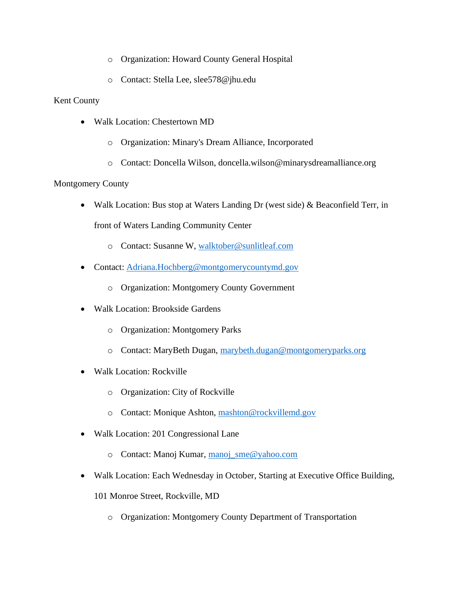- o Organization: Howard County General Hospital
- o Contact: Stella Lee, slee578@jhu.edu

# Kent County

- Walk Location: Chestertown MD
	- o Organization: Minary's Dream Alliance, Incorporated
	- o Contact: Doncella Wilson, doncella.wilson@minarysdreamalliance.org

# Montgomery County

• Walk Location: Bus stop at Waters Landing Dr (west side) & Beaconfield Terr, in

front of Waters Landing Community Center

- o Contact: Susanne W, [walktober@sunlitleaf.com](mailto:walktober@sunlitleaf.com)
- Contact: [Adriana.Hochberg@montgomerycountymd.gov](mailto:Adriana.Hochberg@montgomerycountymd.gov)
	- o Organization: Montgomery County Government
- Walk Location: Brookside Gardens
	- o Organization: Montgomery Parks
	- o Contact: MaryBeth Dugan, [marybeth.dugan@montgomeryparks.org](mailto:marybeth.dugan@montgomeryparks.org)
- Walk Location: Rockville
	- o Organization: City of Rockville
	- o Contact: Monique Ashton, [mashton@rockvillemd.gov](mailto:mashton@rockvillemd.gov)
- Walk Location: 201 Congressional Lane
	- o Contact: Manoj Kumar, [manoj\\_sme@yahoo.com](mailto:manoj_sme@yahoo.com)
- Walk Location: Each Wednesday in October, Starting at Executive Office Building,
	- 101 Monroe Street, Rockville, MD
		- o Organization: Montgomery County Department of Transportation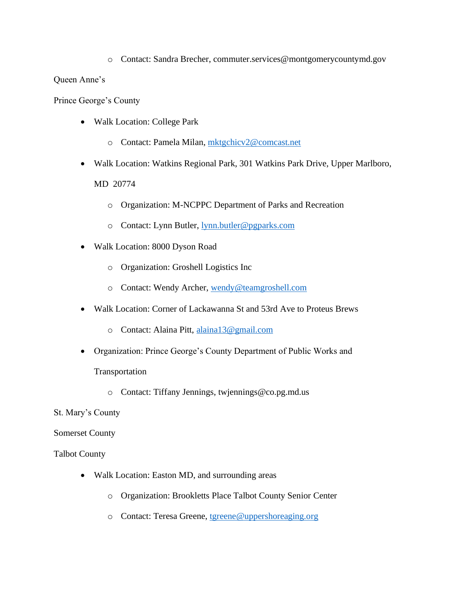o Contact: Sandra Brecher, commuter.services@montgomerycountymd.gov

Queen Anne's

Prince George's County

- Walk Location: College Park
	- o Contact: Pamela Milan, [mktgchicv2@comcast.net](mailto:mktgchicv2@comcast.net)
- Walk Location: Watkins Regional Park, 301 Watkins Park Drive, Upper Marlboro, MD 20774
	- o Organization: M-NCPPC Department of Parks and Recreation
	- o Contact: Lynn Butler, [lynn.butler@pgparks.com](mailto:lynn.butler@pgparks.com)
- Walk Location: 8000 Dyson Road
	- o Organization: Groshell Logistics Inc
	- o Contact: Wendy Archer, [wendy@teamgroshell.com](mailto:wendy@teamgroshell.com)
- Walk Location: Corner of Lackawanna St and 53rd Ave to Proteus Brews
	- o Contact: Alaina Pitt, [alaina13@gmail.com](mailto:alaina13@gmail.com)
- Organization: Prince George's County Department of Public Works and

Transportation

o Contact: Tiffany Jennings, twjennings@co.pg.md.us

St. Mary's County

Somerset County

Talbot County

- Walk Location: Easton MD, and surrounding areas
	- o Organization: Brookletts Place Talbot County Senior Center
	- o Contact: Teresa Greene, [tgreene@uppershoreaging.org](mailto:tgreene@uppershoreaging.org)